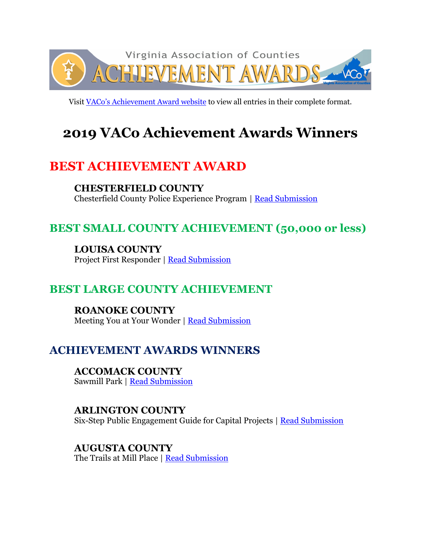

Visit [VACo's Achievement Award website](http://www.vaco.org/county-profiles/achievement-awards/2019-achievement-awards-entries/) to view all entries in their complete format.

# **2019 VACo Achievement Awards Winners**

# **BEST ACHIEVEMENT AWARD**

**CHESTERFIELD COUNTY** Chesterfield County Police Experience Program | [Read Submission](https://www.vaco.org/wp-content/uploads/2019/06/ChesterfieldPoliceExperienceProgram.pdf)

# **BEST SMALL COUNTY ACHIEVEMENT (50,000 or less)**

**LOUISA COUNTY** Project First Responder | [Read Submission](https://www.vaco.org/wp-content/uploads/2019/06/LouisaProjectFirstResponder.pdf)

### **BEST LARGE COUNTY ACHIEVEMENT**

**ROANOKE COUNTY** Meeting You at Your Wonder | [Read Submission](https://www.vaco.org/wp-content/uploads/2019/06/RoanokeMeetingYouAtYourWonder.pdf)

# **ACHIEVEMENT AWARDS WINNERS**

**ACCOMACK COUNTY** Sawmill Park | [Read Submission](https://www.vaco.org/wp-content/uploads/2019/06/AccomackSawmillPark.pdf)

#### **ARLINGTON COUNTY**  Six-Step Public Engagement Guide for Capital Projects | [Read Submission](https://www.vaco.org/wp-content/uploads/2019/06/ArlingtonSixStepPublicEngagementGuide.pdf)

**AUGUSTA COUNTY** The Trails at Mill Place | [Read Submission](https://www.vaco.org/wp-content/uploads/2019/06/AugustaTrailsMillPlace.pdf)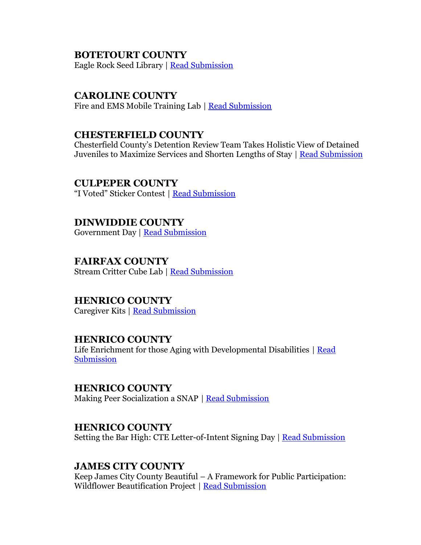#### **BOTETOURT COUNTY**

Eagle Rock Seed Library | [Read Submission](https://www.vaco.org/wp-content/uploads/2019/06/BotetourtEagleRockSeedLibrary.pdf)

#### **CAROLINE COUNTY**

Fire and EMS Mobile Training Lab | [Read Submission](https://www.vaco.org/wp-content/uploads/2019/06/CarolineFireEMSMobileTrainingLab.pdf)

#### **CHESTERFIELD COUNTY**

Chesterfield County's Detention Review Team Takes Holistic View of Detained Juveniles to Maximize Services and Shorten Lengths of Stay | [Read Submission](https://www.vaco.org/wp-content/uploads/2019/06/ChesterfieldDetentionReviewTeam.pdf)

**CULPEPER COUNTY** "I Voted" Sticker Contest | [Read Submission](https://www.vaco.org/wp-content/uploads/2019/06/CulpeperIVotedStickerContest.pdf)

**DINWIDDIE COUNTY** Government Day | [Read Submission](https://www.vaco.org/wp-content/uploads/2019/06/DinwiddieGovernmentDay.pdf)

### **FAIRFAX COUNTY**

Stream Critter Cube Lab | [Read Submission](https://www.vaco.org/wp-content/uploads/2019/06/FairfaxStreamCritterCubeLab.pdf)

#### **HENRICO COUNTY**

Caregiver Kits | [Read Submission](https://www.vaco.org/wp-content/uploads/2019/06/HenricoCaregiverKits.pdf)

#### **HENRICO COUNTY**

Life Enrichment for those Aging with Developmental Disabilities | Read [Submission](https://www.vaco.org/wp-content/uploads/2019/06/HenricoLifeEnrichmentAging.pdf)

**HENRICO COUNTY**

Making Peer Socialization a SNAP | [Read Submission](https://www.vaco.org/wp-content/uploads/2019/06/HenricoMakingPeerSocializationSNAP.pdf)

#### **HENRICO COUNTY**

Setting the Bar High: CTE Letter-of-Intent Signing Day | [Read Submission](https://www.vaco.org/wp-content/uploads/2019/06/HenricoSettingBarHigh.pdf)

#### **JAMES CITY COUNTY**

Keep James City County Beautiful – A Framework for Public Participation: Wildflower Beautification Project | [Read Submission](https://www.vaco.org/wp-content/uploads/2019/06/JamesCityWildflowerBeautificationProject.pdf)